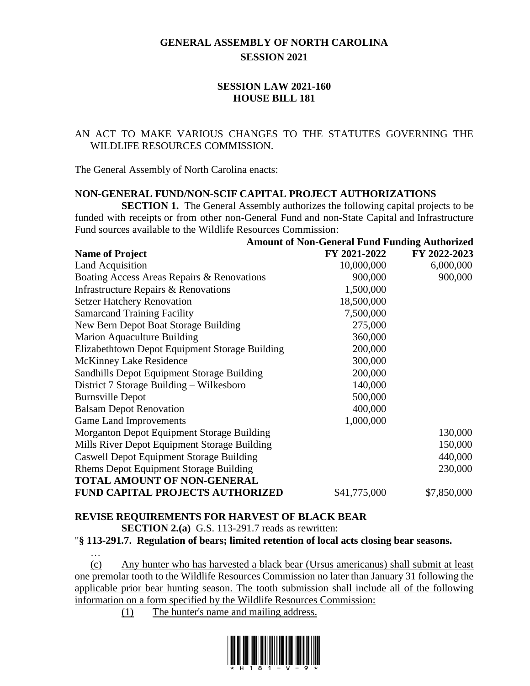# **GENERAL ASSEMBLY OF NORTH CAROLINA SESSION 2021**

# **SESSION LAW 2021-160 HOUSE BILL 181**

# AN ACT TO MAKE VARIOUS CHANGES TO THE STATUTES GOVERNING THE WILDLIFE RESOURCES COMMISSION.

The General Assembly of North Carolina enacts:

#### **NON-GENERAL FUND/NON-SCIF CAPITAL PROJECT AUTHORIZATIONS**

**SECTION 1.** The General Assembly authorizes the following capital projects to be funded with receipts or from other non-General Fund and non-State Capital and Infrastructure Fund sources available to the Wildlife Resources Commission:

|                                                 | <b>Amount of Non-General Fund Funding Authorized</b> |              |
|-------------------------------------------------|------------------------------------------------------|--------------|
| <b>Name of Project</b>                          | FY 2021-2022                                         | FY 2022-2023 |
| <b>Land Acquisition</b>                         | 10,000,000                                           | 6,000,000    |
| Boating Access Areas Repairs & Renovations      | 900,000                                              | 900,000      |
| Infrastructure Repairs & Renovations            | 1,500,000                                            |              |
| <b>Setzer Hatchery Renovation</b>               | 18,500,000                                           |              |
| <b>Samarcand Training Facility</b>              | 7,500,000                                            |              |
| New Bern Depot Boat Storage Building            | 275,000                                              |              |
| Marion Aquaculture Building                     | 360,000                                              |              |
| Elizabethtown Depot Equipment Storage Building  | 200,000                                              |              |
| <b>McKinney Lake Residence</b>                  | 300,000                                              |              |
| Sandhills Depot Equipment Storage Building      | 200,000                                              |              |
| District 7 Storage Building - Wilkesboro        | 140,000                                              |              |
| <b>Burnsville Depot</b>                         | 500,000                                              |              |
| <b>Balsam Depot Renovation</b>                  | 400,000                                              |              |
| <b>Game Land Improvements</b>                   | 1,000,000                                            |              |
| Morganton Depot Equipment Storage Building      |                                                      | 130,000      |
| Mills River Depot Equipment Storage Building    |                                                      | 150,000      |
| <b>Caswell Depot Equipment Storage Building</b> |                                                      | 440,000      |
| <b>Rhems Depot Equipment Storage Building</b>   |                                                      | 230,000      |
| <b>TOTAL AMOUNT OF NON-GENERAL</b>              |                                                      |              |
| <b>FUND CAPITAL PROJECTS AUTHORIZED</b>         | \$41,775,000                                         | \$7,850,000  |

# **REVISE REQUIREMENTS FOR HARVEST OF BLACK BEAR**

**SECTION 2.(a)** G.S. 113-291.7 reads as rewritten:

"**§ 113-291.7. Regulation of bears; limited retention of local acts closing bear seasons.**

… (c) Any hunter who has harvested a black bear (Ursus americanus) shall submit at least one premolar tooth to the Wildlife Resources Commission no later than January 31 following the applicable prior bear hunting season. The tooth submission shall include all of the following information on a form specified by the Wildlife Resources Commission:

(1) The hunter's name and mailing address.

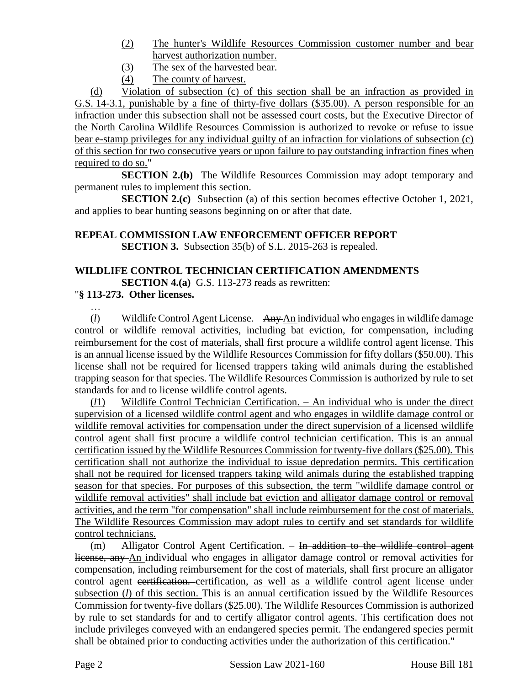- (2) The hunter's Wildlife Resources Commission customer number and bear harvest authorization number.
- (3) The sex of the harvested bear.
- (4) The county of harvest.

(d) Violation of subsection (c) of this section shall be an infraction as provided in G.S. 14-3.1, punishable by a fine of thirty-five dollars (\$35.00). A person responsible for an infraction under this subsection shall not be assessed court costs, but the Executive Director of the North Carolina Wildlife Resources Commission is authorized to revoke or refuse to issue bear e-stamp privileges for any individual guilty of an infraction for violations of subsection (c) of this section for two consecutive years or upon failure to pay outstanding infraction fines when required to do so."

**SECTION 2.(b)** The Wildlife Resources Commission may adopt temporary and permanent rules to implement this section.

**SECTION 2.(c)** Subsection (a) of this section becomes effective October 1, 2021, and applies to bear hunting seasons beginning on or after that date.

# **REPEAL COMMISSION LAW ENFORCEMENT OFFICER REPORT**

**SECTION 3.** Subsection 35(b) of S.L. 2015-263 is repealed.

#### **WILDLIFE CONTROL TECHNICIAN CERTIFICATION AMENDMENTS SECTION 4.(a)** G.S. 113-273 reads as rewritten:

# "**§ 113-273. Other licenses.**

…

(*l*) Wildlife Control Agent License. – Any An individual who engages in wildlife damage control or wildlife removal activities, including bat eviction, for compensation, including reimbursement for the cost of materials, shall first procure a wildlife control agent license. This is an annual license issued by the Wildlife Resources Commission for fifty dollars (\$50.00). This license shall not be required for licensed trappers taking wild animals during the established trapping season for that species. The Wildlife Resources Commission is authorized by rule to set standards for and to license wildlife control agents.

(*l*1) Wildlife Control Technician Certification. – An individual who is under the direct supervision of a licensed wildlife control agent and who engages in wildlife damage control or wildlife removal activities for compensation under the direct supervision of a licensed wildlife control agent shall first procure a wildlife control technician certification. This is an annual certification issued by the Wildlife Resources Commission for twenty-five dollars (\$25.00). This certification shall not authorize the individual to issue depredation permits. This certification shall not be required for licensed trappers taking wild animals during the established trapping season for that species. For purposes of this subsection, the term "wildlife damage control or wildlife removal activities" shall include bat eviction and alligator damage control or removal activities, and the term "for compensation" shall include reimbursement for the cost of materials. The Wildlife Resources Commission may adopt rules to certify and set standards for wildlife control technicians.

 $(m)$  Alligator Control Agent Certification. – In addition to the wildlife control agent license, any An individual who engages in alligator damage control or removal activities for compensation, including reimbursement for the cost of materials, shall first procure an alligator control agent certification. certification, as well as a wildlife control agent license under subsection (*l*) of this section. This is an annual certification issued by the Wildlife Resources Commission for twenty-five dollars (\$25.00). The Wildlife Resources Commission is authorized by rule to set standards for and to certify alligator control agents. This certification does not include privileges conveyed with an endangered species permit. The endangered species permit shall be obtained prior to conducting activities under the authorization of this certification."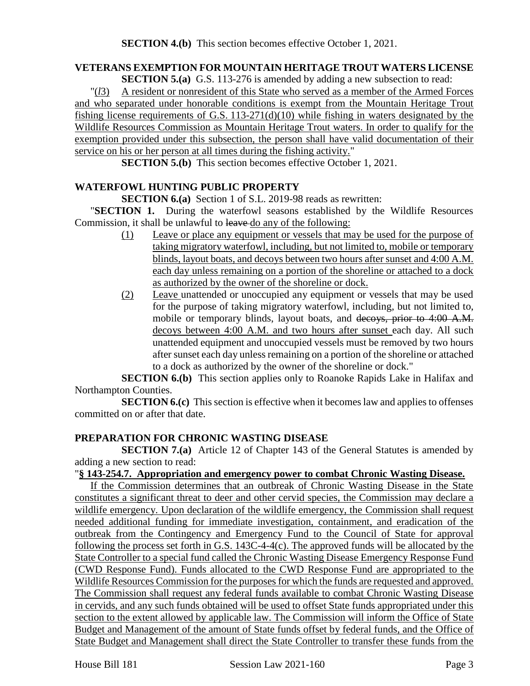# **VETERANS EXEMPTION FOR MOUNTAIN HERITAGE TROUT WATERS LICENSE**

**SECTION 5.(a)** G.S. 113-276 is amended by adding a new subsection to read:

"(*l*3) A resident or nonresident of this State who served as a member of the Armed Forces and who separated under honorable conditions is exempt from the Mountain Heritage Trout fishing license requirements of G.S. 113-271(d)(10) while fishing in waters designated by the Wildlife Resources Commission as Mountain Heritage Trout waters. In order to qualify for the exemption provided under this subsection, the person shall have valid documentation of their service on his or her person at all times during the fishing activity."

**SECTION 5.(b)** This section becomes effective October 1, 2021.

# **WATERFOWL HUNTING PUBLIC PROPERTY**

**SECTION 6.(a)** Section 1 of S.L. 2019-98 reads as rewritten:

"**SECTION 1.** During the waterfowl seasons established by the Wildlife Resources Commission, it shall be unlawful to leave do any of the following:

- (1) Leave or place any equipment or vessels that may be used for the purpose of taking migratory waterfowl, including, but not limited to, mobile or temporary blinds, layout boats, and decoys between two hours after sunset and 4:00 A.M. each day unless remaining on a portion of the shoreline or attached to a dock as authorized by the owner of the shoreline or dock.
- (2) Leave unattended or unoccupied any equipment or vessels that may be used for the purpose of taking migratory waterfowl, including, but not limited to, mobile or temporary blinds, layout boats, and decoys, prior to 4:00 A.M. decoys between 4:00 A.M. and two hours after sunset each day. All such unattended equipment and unoccupied vessels must be removed by two hours after sunset each day unless remaining on a portion of the shoreline or attached to a dock as authorized by the owner of the shoreline or dock."

**SECTION 6.(b)** This section applies only to Roanoke Rapids Lake in Halifax and Northampton Counties.

**SECTION 6.(c)** This section is effective when it becomes law and applies to offenses committed on or after that date.

# **PREPARATION FOR CHRONIC WASTING DISEASE**

**SECTION 7.(a)** Article 12 of Chapter 143 of the General Statutes is amended by adding a new section to read:

#### "**§ 143-254.7. Appropriation and emergency power to combat Chronic Wasting Disease.**

If the Commission determines that an outbreak of Chronic Wasting Disease in the State constitutes a significant threat to deer and other cervid species, the Commission may declare a wildlife emergency. Upon declaration of the wildlife emergency, the Commission shall request needed additional funding for immediate investigation, containment, and eradication of the outbreak from the Contingency and Emergency Fund to the Council of State for approval following the process set forth in G.S. 143C-4-4(c). The approved funds will be allocated by the State Controller to a special fund called the Chronic Wasting Disease Emergency Response Fund (CWD Response Fund). Funds allocated to the CWD Response Fund are appropriated to the Wildlife Resources Commission for the purposes for which the funds are requested and approved. The Commission shall request any federal funds available to combat Chronic Wasting Disease in cervids, and any such funds obtained will be used to offset State funds appropriated under this section to the extent allowed by applicable law. The Commission will inform the Office of State Budget and Management of the amount of State funds offset by federal funds, and the Office of State Budget and Management shall direct the State Controller to transfer these funds from the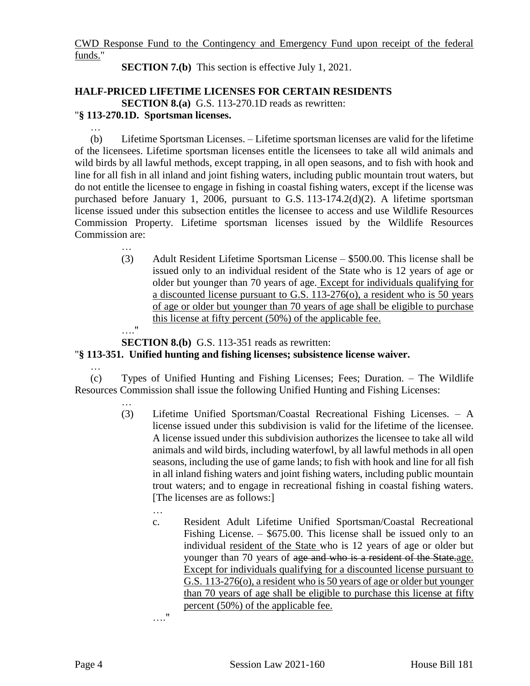CWD Response Fund to the Contingency and Emergency Fund upon receipt of the federal funds."

**SECTION 7.(b)** This section is effective July 1, 2021.

# **HALF-PRICED LIFETIME LICENSES FOR CERTAIN RESIDENTS SECTION 8.(a)** G.S. 113-270.1D reads as rewritten:

# "**§ 113-270.1D. Sportsman licenses.**

… (b) Lifetime Sportsman Licenses. – Lifetime sportsman licenses are valid for the lifetime of the licensees. Lifetime sportsman licenses entitle the licensees to take all wild animals and wild birds by all lawful methods, except trapping, in all open seasons, and to fish with hook and line for all fish in all inland and joint fishing waters, including public mountain trout waters, but do not entitle the licensee to engage in fishing in coastal fishing waters, except if the license was purchased before January 1, 2006, pursuant to G.S. 113-174.2(d)(2). A lifetime sportsman license issued under this subsection entitles the licensee to access and use Wildlife Resources Commission Property. Lifetime sportsman licenses issued by the Wildlife Resources Commission are:

> … (3) Adult Resident Lifetime Sportsman License – \$500.00. This license shall be issued only to an individual resident of the State who is 12 years of age or older but younger than 70 years of age. Except for individuals qualifying for a discounted license pursuant to G.S. 113-276(o), a resident who is 50 years of age or older but younger than 70 years of age shall be eligible to purchase this license at fifty percent (50%) of the applicable fee. …."

**SECTION 8.(b)** G.S. 113-351 reads as rewritten:

"**§ 113-351. Unified hunting and fishing licenses; subsistence license waiver.**

…

…

(c) Types of Unified Hunting and Fishing Licenses; Fees; Duration. – The Wildlife Resources Commission shall issue the following Unified Hunting and Fishing Licenses:

- (3) Lifetime Unified Sportsman/Coastal Recreational Fishing Licenses. A license issued under this subdivision is valid for the lifetime of the licensee. A license issued under this subdivision authorizes the licensee to take all wild animals and wild birds, including waterfowl, by all lawful methods in all open seasons, including the use of game lands; to fish with hook and line for all fish in all inland fishing waters and joint fishing waters, including public mountain trout waters; and to engage in recreational fishing in coastal fishing waters. [The licenses are as follows:]
	- … c. Resident Adult Lifetime Unified Sportsman/Coastal Recreational Fishing License. – \$675.00. This license shall be issued only to an individual resident of the State who is 12 years of age or older but younger than 70 years of  $\overline{age}$  and who is a resident of the State.age. Except for individuals qualifying for a discounted license pursuant to G.S. 113-276(o), a resident who is 50 years of age or older but younger than 70 years of age shall be eligible to purchase this license at fifty percent (50%) of the applicable fee.

…."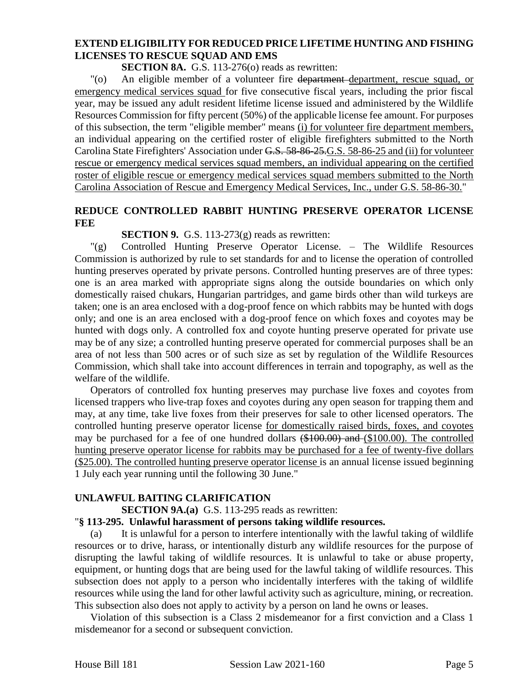#### **EXTEND ELIGIBILITY FOR REDUCED PRICE LIFETIME HUNTING AND FISHING LICENSES TO RESCUE SQUAD AND EMS**

**SECTION 8A.** G.S. 113-276(o) reads as rewritten:

"(o) An eligible member of a volunteer fire department department, rescue squad, or emergency medical services squad for five consecutive fiscal years, including the prior fiscal year, may be issued any adult resident lifetime license issued and administered by the Wildlife Resources Commission for fifty percent (50%) of the applicable license fee amount. For purposes of this subsection, the term "eligible member" means (i) for volunteer fire department members, an individual appearing on the certified roster of eligible firefighters submitted to the North Carolina State Firefighters' Association under G.S. 58-86-25.G.S. 58-86-25 and (ii) for volunteer rescue or emergency medical services squad members, an individual appearing on the certified roster of eligible rescue or emergency medical services squad members submitted to the North Carolina Association of Rescue and Emergency Medical Services, Inc., under G.S. 58-86-30."

#### **REDUCE CONTROLLED RABBIT HUNTING PRESERVE OPERATOR LICENSE FEE**

#### **SECTION 9.** G.S. 113-273(g) reads as rewritten:

"(g) Controlled Hunting Preserve Operator License. – The Wildlife Resources Commission is authorized by rule to set standards for and to license the operation of controlled hunting preserves operated by private persons. Controlled hunting preserves are of three types: one is an area marked with appropriate signs along the outside boundaries on which only domestically raised chukars, Hungarian partridges, and game birds other than wild turkeys are taken; one is an area enclosed with a dog-proof fence on which rabbits may be hunted with dogs only; and one is an area enclosed with a dog-proof fence on which foxes and coyotes may be hunted with dogs only. A controlled fox and coyote hunting preserve operated for private use may be of any size; a controlled hunting preserve operated for commercial purposes shall be an area of not less than 500 acres or of such size as set by regulation of the Wildlife Resources Commission, which shall take into account differences in terrain and topography, as well as the welfare of the wildlife.

Operators of controlled fox hunting preserves may purchase live foxes and coyotes from licensed trappers who live-trap foxes and coyotes during any open season for trapping them and may, at any time, take live foxes from their preserves for sale to other licensed operators. The controlled hunting preserve operator license for domestically raised birds, foxes, and coyotes may be purchased for a fee of one hundred dollars (\$100.00) and (\$100.00). The controlled hunting preserve operator license for rabbits may be purchased for a fee of twenty-five dollars (\$25.00). The controlled hunting preserve operator license is an annual license issued beginning 1 July each year running until the following 30 June."

# **UNLAWFUL BAITING CLARIFICATION**

**SECTION 9A.(a)** G.S. 113-295 reads as rewritten:

#### "**§ 113-295. Unlawful harassment of persons taking wildlife resources.**

(a) It is unlawful for a person to interfere intentionally with the lawful taking of wildlife resources or to drive, harass, or intentionally disturb any wildlife resources for the purpose of disrupting the lawful taking of wildlife resources. It is unlawful to take or abuse property, equipment, or hunting dogs that are being used for the lawful taking of wildlife resources. This subsection does not apply to a person who incidentally interferes with the taking of wildlife resources while using the land for other lawful activity such as agriculture, mining, or recreation. This subsection also does not apply to activity by a person on land he owns or leases.

Violation of this subsection is a Class 2 misdemeanor for a first conviction and a Class 1 misdemeanor for a second or subsequent conviction.